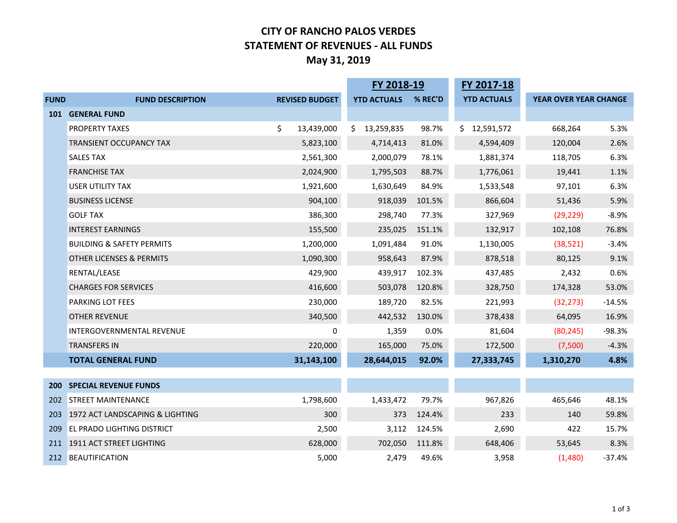## **CITY OF RANCHO PALOS VERDES STATEMENT OF REVENUES - ALL FUNDS May 31, 2019**

|             |                                      |                       | FY 2018-19         |         | FY 2017-18         |                              |          |
|-------------|--------------------------------------|-----------------------|--------------------|---------|--------------------|------------------------------|----------|
| <b>FUND</b> | <b>FUND DESCRIPTION</b>              | <b>REVISED BUDGET</b> | <b>YTD ACTUALS</b> | % REC'D | <b>YTD ACTUALS</b> | <b>YEAR OVER YEAR CHANGE</b> |          |
| <b>101</b>  | <b>GENERAL FUND</b>                  |                       |                    |         |                    |                              |          |
|             | <b>PROPERTY TAXES</b>                | \$<br>13,439,000      | \$.<br>13,259,835  | 98.7%   | \$.<br>12,591,572  | 668,264                      | 5.3%     |
|             | <b>TRANSIENT OCCUPANCY TAX</b>       | 5,823,100             | 4,714,413          | 81.0%   | 4,594,409          | 120,004                      | 2.6%     |
|             | <b>SALES TAX</b>                     | 2,561,300             | 2,000,079          | 78.1%   | 1,881,374          | 118,705                      | 6.3%     |
|             | <b>FRANCHISE TAX</b>                 | 2,024,900             | 1,795,503          | 88.7%   | 1,776,061          | 19,441                       | 1.1%     |
|             | <b>USER UTILITY TAX</b>              | 1,921,600             | 1,630,649          | 84.9%   | 1,533,548          | 97,101                       | 6.3%     |
|             | <b>BUSINESS LICENSE</b>              | 904,100               | 918,039            | 101.5%  | 866,604            | 51,436                       | 5.9%     |
|             | <b>GOLF TAX</b>                      | 386,300               | 298,740            | 77.3%   | 327,969            | (29, 229)                    | $-8.9%$  |
|             | <b>INTEREST EARNINGS</b>             | 155,500               | 235,025            | 151.1%  | 132,917            | 102,108                      | 76.8%    |
|             | <b>BUILDING &amp; SAFETY PERMITS</b> | 1,200,000             | 1,091,484          | 91.0%   | 1,130,005          | (38, 521)                    | $-3.4%$  |
|             | <b>OTHER LICENSES &amp; PERMITS</b>  | 1,090,300             | 958,643            | 87.9%   | 878,518            | 80,125                       | 9.1%     |
|             | RENTAL/LEASE                         | 429,900               | 439,917            | 102.3%  | 437,485            | 2,432                        | 0.6%     |
|             | <b>CHARGES FOR SERVICES</b>          | 416,600               | 503,078            | 120.8%  | 328,750            | 174,328                      | 53.0%    |
|             | <b>PARKING LOT FEES</b>              | 230,000               | 189,720            | 82.5%   | 221,993            | (32, 273)                    | $-14.5%$ |
|             | <b>OTHER REVENUE</b>                 | 340,500               | 442,532            | 130.0%  | 378,438            | 64,095                       | 16.9%    |
|             | <b>INTERGOVERNMENTAL REVENUE</b>     | 0                     | 1,359              | 0.0%    | 81,604             | (80, 245)                    | $-98.3%$ |
|             | <b>TRANSFERS IN</b>                  | 220,000               | 165,000            | 75.0%   | 172,500            | (7,500)                      | $-4.3%$  |
|             | <b>TOTAL GENERAL FUND</b>            | 31,143,100            | 28,644,015         | 92.0%   | 27,333,745         | 1,310,270                    | 4.8%     |
|             |                                      |                       |                    |         |                    |                              |          |
| 200         | <b>SPECIAL REVENUE FUNDS</b>         |                       |                    |         |                    |                              |          |
|             | 202 STREET MAINTENANCE               | 1,798,600             | 1,433,472          | 79.7%   | 967,826            | 465,646                      | 48.1%    |
| 203         | 1972 ACT LANDSCAPING & LIGHTING      | 300                   | 373                | 124.4%  | 233                | 140                          | 59.8%    |
| 209         | <b>EL PRADO LIGHTING DISTRICT</b>    | 2,500                 | 3,112              | 124.5%  | 2,690              | 422                          | 15.7%    |
|             | 211 1911 ACT STREET LIGHTING         | 628,000               | 702,050            | 111.8%  | 648,406            | 53,645                       | 8.3%     |
|             | 212 BEAUTIFICATION                   | 5,000                 | 2,479              | 49.6%   | 3,958              | (1,480)                      | $-37.4%$ |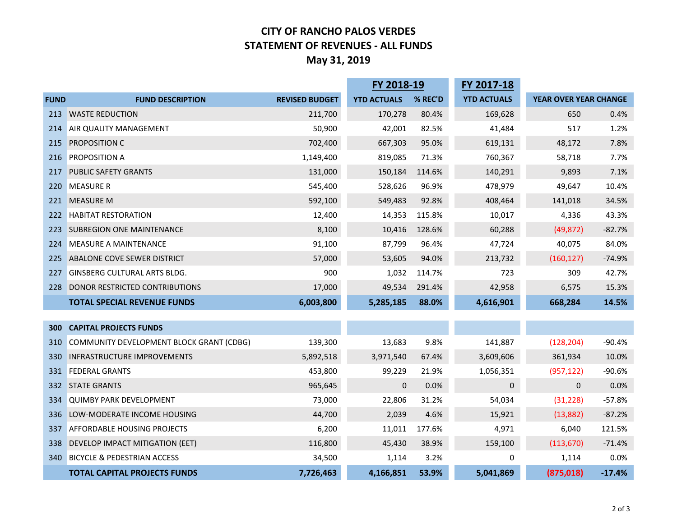## **CITY OF RANCHO PALOS VERDES STATEMENT OF REVENUES - ALL FUNDS May 31, 2019**

|             |                                          |                       | FY 2018-19         |         | FY 2017-18         |                       |          |
|-------------|------------------------------------------|-----------------------|--------------------|---------|--------------------|-----------------------|----------|
| <b>FUND</b> | <b>FUND DESCRIPTION</b>                  | <b>REVISED BUDGET</b> | <b>YTD ACTUALS</b> | % REC'D | <b>YTD ACTUALS</b> | YEAR OVER YEAR CHANGE |          |
| 213         | <b>WASTE REDUCTION</b>                   | 211,700               | 170,278            | 80.4%   | 169,628            | 650                   | 0.4%     |
| 214         | AIR QUALITY MANAGEMENT                   | 50,900                | 42,001             | 82.5%   | 41,484             | 517                   | 1.2%     |
| 215         | <b>PROPOSITION C</b>                     | 702,400               | 667,303            | 95.0%   | 619,131            | 48,172                | 7.8%     |
| 216         | PROPOSITION A                            | 1,149,400             | 819,085            | 71.3%   | 760,367            | 58,718                | 7.7%     |
| 217         | <b>PUBLIC SAFETY GRANTS</b>              | 131,000               | 150,184            | 114.6%  | 140,291            | 9,893                 | 7.1%     |
| 220         | <b>MEASURE R</b>                         | 545,400               | 528,626            | 96.9%   | 478,979            | 49,647                | 10.4%    |
| 221         | <b>MEASURE M</b>                         | 592,100               | 549,483            | 92.8%   | 408,464            | 141,018               | 34.5%    |
| 222         | <b>HABITAT RESTORATION</b>               | 12,400                | 14,353             | 115.8%  | 10,017             | 4,336                 | 43.3%    |
| 223         | <b>SUBREGION ONE MAINTENANCE</b>         | 8,100                 | 10,416             | 128.6%  | 60,288             | (49, 872)             | $-82.7%$ |
| 224         | <b>MEASURE A MAINTENANCE</b>             | 91,100                | 87,799             | 96.4%   | 47,724             | 40,075                | 84.0%    |
| 225         | ABALONE COVE SEWER DISTRICT              | 57,000                | 53,605             | 94.0%   | 213,732            | (160, 127)            | $-74.9%$ |
| 227         | <b>GINSBERG CULTURAL ARTS BLDG.</b>      | 900                   | 1,032              | 114.7%  | 723                | 309                   | 42.7%    |
| 228         | DONOR RESTRICTED CONTRIBUTIONS           | 17,000                | 49,534             | 291.4%  | 42,958             | 6,575                 | 15.3%    |
|             | <b>TOTAL SPECIAL REVENUE FUNDS</b>       | 6,003,800             | 5,285,185          | 88.0%   | 4,616,901          | 668,284               | 14.5%    |
|             |                                          |                       |                    |         |                    |                       |          |
| 300         | <b>CAPITAL PROJECTS FUNDS</b>            |                       |                    |         |                    |                       |          |
| 310         | COMMUNITY DEVELOPMENT BLOCK GRANT (CDBG) | 139,300               | 13,683             | 9.8%    | 141,887            | (128, 204)            | $-90.4%$ |
| 330         | <b>INFRASTRUCTURE IMPROVEMENTS</b>       | 5,892,518             | 3,971,540          | 67.4%   | 3,609,606          | 361,934               | 10.0%    |
| 331         | <b>FEDERAL GRANTS</b>                    | 453,800               | 99,229             | 21.9%   | 1,056,351          | (957, 122)            | $-90.6%$ |
|             | 332 STATE GRANTS                         | 965,645               | $\mathbf{0}$       | 0.0%    | $\mathbf 0$        | $\mathbf{0}$          | 0.0%     |
|             | 334 QUIMBY PARK DEVELOPMENT              | 73,000                | 22,806             | 31.2%   | 54,034             | (31, 228)             | $-57.8%$ |
| 336         | LOW-MODERATE INCOME HOUSING              | 44,700                | 2,039              | 4.6%    | 15,921             | (13,882)              | $-87.2%$ |
| 337         | AFFORDABLE HOUSING PROJECTS              | 6,200                 | 11,011             | 177.6%  | 4,971              | 6,040                 | 121.5%   |
| 338         | DEVELOP IMPACT MITIGATION (EET)          | 116,800               | 45,430             | 38.9%   | 159,100            | (113, 670)            | $-71.4%$ |
| 340         | <b>BICYCLE &amp; PEDESTRIAN ACCESS</b>   | 34,500                | 1,114              | 3.2%    | $\pmb{0}$          | 1,114                 | 0.0%     |
|             | <b>TOTAL CAPITAL PROJECTS FUNDS</b>      | 7,726,463             | 4,166,851          | 53.9%   | 5,041,869          | (875, 018)            | $-17.4%$ |